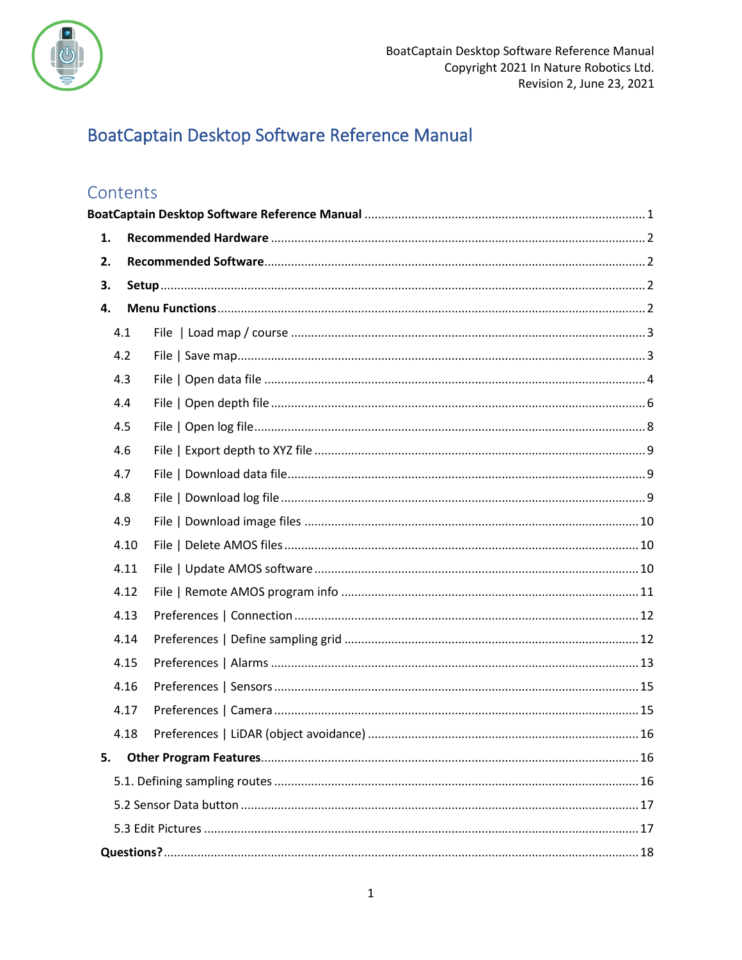

# <span id="page-0-0"></span>BoatCaptain Desktop Software Reference Manual

## Contents

| 1. |      |  |  |  |  |
|----|------|--|--|--|--|
| 2. |      |  |  |  |  |
| 3. |      |  |  |  |  |
| 4. |      |  |  |  |  |
|    | 4.1  |  |  |  |  |
|    | 4.2  |  |  |  |  |
|    | 4.3  |  |  |  |  |
|    | 4.4  |  |  |  |  |
|    | 4.5  |  |  |  |  |
|    | 4.6  |  |  |  |  |
|    | 4.7  |  |  |  |  |
|    | 4.8  |  |  |  |  |
|    | 4.9  |  |  |  |  |
|    | 4.10 |  |  |  |  |
|    | 4.11 |  |  |  |  |
|    | 4.12 |  |  |  |  |
|    | 4.13 |  |  |  |  |
|    | 4.14 |  |  |  |  |
|    | 4.15 |  |  |  |  |
|    | 4.16 |  |  |  |  |
|    | 4.17 |  |  |  |  |
|    | 4.18 |  |  |  |  |
| 5. |      |  |  |  |  |
|    |      |  |  |  |  |
|    |      |  |  |  |  |
|    |      |  |  |  |  |
|    |      |  |  |  |  |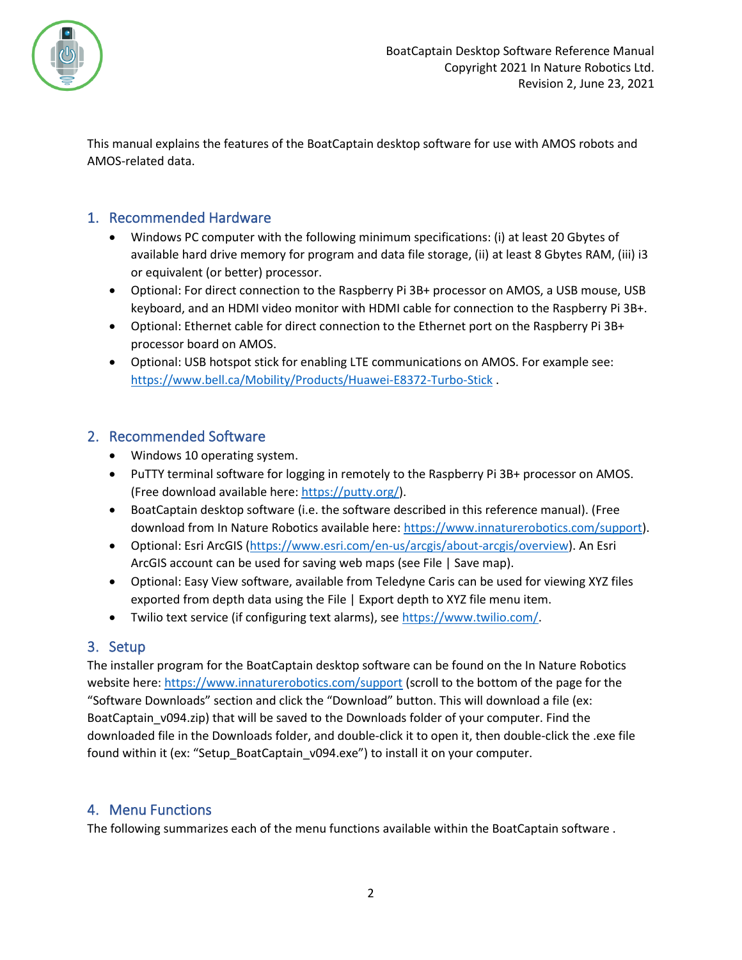

This manual explains the features of the BoatCaptain desktop software for use with AMOS robots and AMOS-related data.

## <span id="page-1-0"></span>1. Recommended Hardware

- Windows PC computer with the following minimum specifications: (i) at least 20 Gbytes of available hard drive memory for program and data file storage, (ii) at least 8 Gbytes RAM, (iii) i3 or equivalent (or better) processor.
- Optional: For direct connection to the Raspberry Pi 3B+ processor on AMOS, a USB mouse, USB keyboard, and an HDMI video monitor with HDMI cable for connection to the Raspberry Pi 3B+.
- Optional: Ethernet cable for direct connection to the Ethernet port on the Raspberry Pi 3B+ processor board on AMOS.
- Optional: USB hotspot stick for enabling LTE communications on AMOS. For example see: <https://www.bell.ca/Mobility/Products/Huawei-E8372-Turbo-Stick> .

## <span id="page-1-1"></span>2. Recommended Software

- Windows 10 operating system.
- PuTTY terminal software for logging in remotely to the Raspberry Pi 3B+ processor on AMOS. (Free download available here: [https://putty.org/\)](https://putty.org/).
- BoatCaptain desktop software (i.e. the software described in this reference manual). (Free download from In Nature Robotics available here: [https://www.innaturerobotics.com/support\)](https://www.innaturerobotics.com/support).
- Optional: Esri ArcGIS [\(https://www.esri.com/en-us/arcgis/about-arcgis/overview\)](https://www.esri.com/en-us/arcgis/about-arcgis/overview). An Esri ArcGIS account can be used for saving web maps (see [File | Save map\)](#page-2-1).
- Optional: Easy View software, available from Teledyne Caris can be used for viewing XYZ files exported from depth data using the [File | Export depth to XYZ file](#page-8-0) menu item.
- Twilio text service (if configuring text alarms), see [https://www.twilio.com/.](https://www.twilio.com/)

## <span id="page-1-2"></span>3. Setup

The installer program for the BoatCaptain desktop software can be found on the In Nature Robotics website here[: https://www.innaturerobotics.com/support](https://www.innaturerobotics.com/support) (scroll to the bottom of the page for the "Software Downloads" section and click the "Download" button. This will download a file (ex: BoatCaptain\_v094.zip) that will be saved to the Downloads folder of your computer. Find the downloaded file in the Downloads folder, and double-click it to open it, then double-click the .exe file found within it (ex: "Setup\_BoatCaptain\_v094.exe") to install it on your computer.

## <span id="page-1-3"></span>4. Menu Functions

The following summarizes each of the menu functions available within the BoatCaptain software .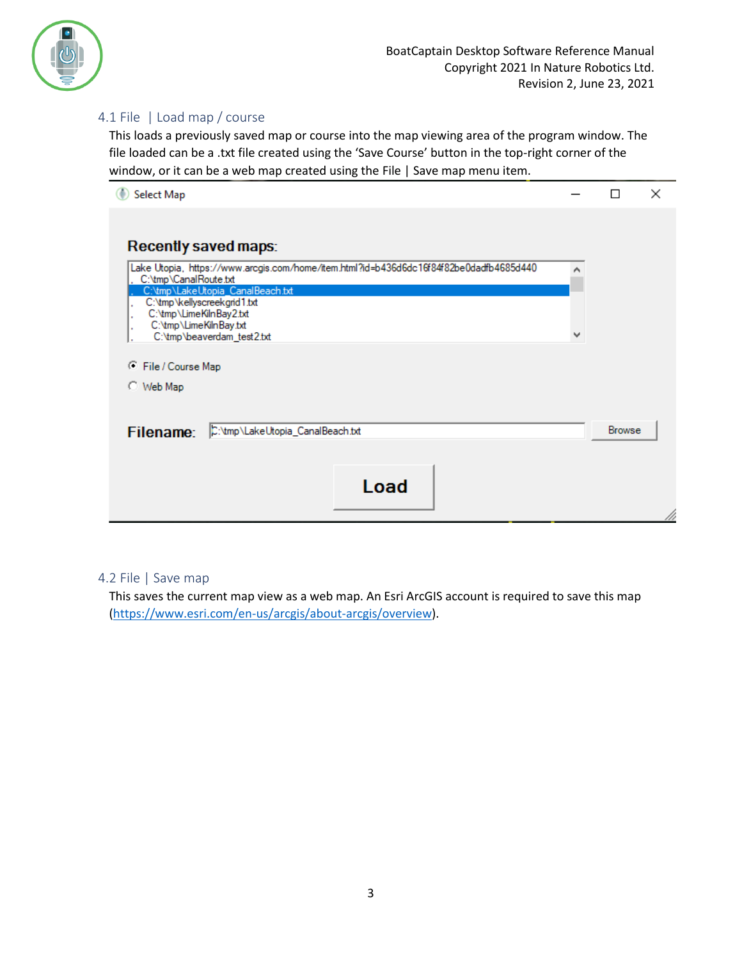

## <span id="page-2-0"></span>4.1 File | Load map / course

This loads a previously saved map or course into the map viewing area of the program window. The file loaded can be a .txt file created using the 'Save Course' button in the top-right corner of the window, or it can be a web map created using th[e File | Save map](#page-2-1) menu item.

| Select Map                                                                                                      |               | × |
|-----------------------------------------------------------------------------------------------------------------|---------------|---|
|                                                                                                                 |               |   |
| Recently saved maps:                                                                                            |               |   |
| Lake Utopia, https://www.arcgis.com/home/item.html?id=b436d6dc16f84f82be0dadfb4685d440<br>C:\tmp\CanalRoute.txt |               |   |
| C:\tmp\LakeUtopia_CanalBeach.txt<br>C:\tmp\kellyscreekgrid1.txt                                                 |               |   |
| C:\tmp\LimeKilnBay2.txt<br>C:\tmp\LimeKilnBay.txt                                                               |               |   |
| C:\tmp\beaverdam_test2.txt                                                                                      |               |   |
| File / Course Map<br>Œ                                                                                          |               |   |
| C Web Map                                                                                                       |               |   |
|                                                                                                                 |               |   |
| C:\tmp\LakeUtopia_CanalBeach.txt<br>Filename:                                                                   | <b>Browse</b> |   |
|                                                                                                                 |               |   |
| Load                                                                                                            |               |   |
|                                                                                                                 |               |   |
|                                                                                                                 |               |   |

#### <span id="page-2-1"></span>4.2 File | Save map

This saves the current map view as a web map. An Esri ArcGIS account is required to save this map [\(https://www.esri.com/en-us/arcgis/about-arcgis/overview\)](https://www.esri.com/en-us/arcgis/about-arcgis/overview).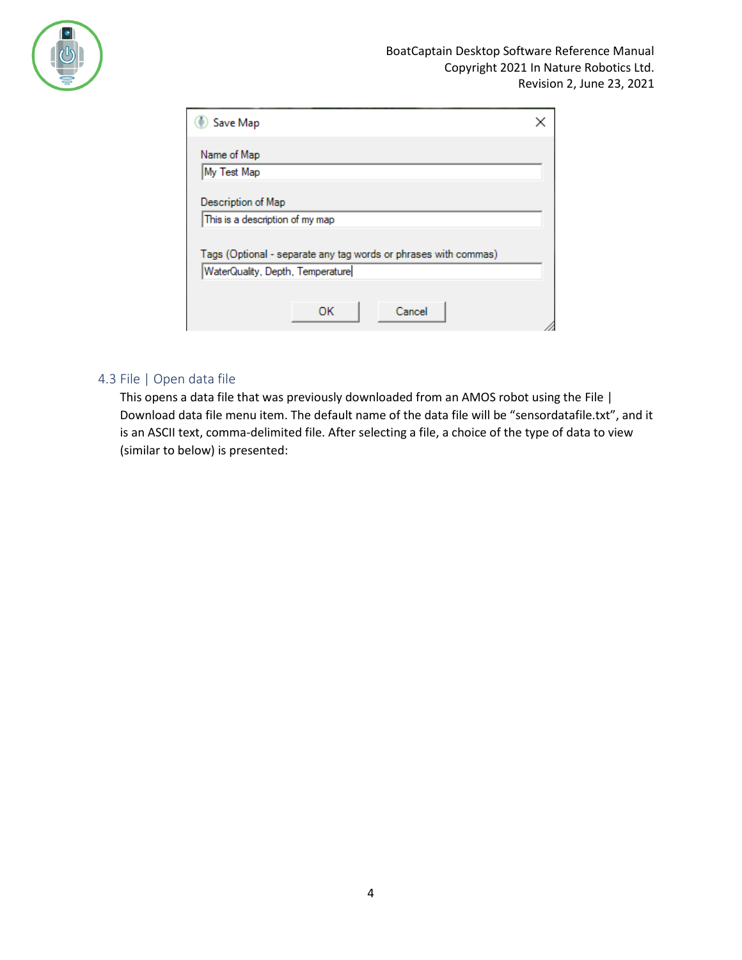

| Save Map                                                                                            |  |
|-----------------------------------------------------------------------------------------------------|--|
| Name of Map                                                                                         |  |
| My Test Map                                                                                         |  |
| Description of Map                                                                                  |  |
| This is a description of my map                                                                     |  |
| Tags (Optional - separate any tag words or phrases with commas)<br>WaterQuality, Depth, Temperature |  |
| Cancel<br>OK                                                                                        |  |

## <span id="page-3-0"></span>4.3 File | Open data file

This opens a data file that was previously downloaded from an AMOS robot using th[e File |](#page-8-1)  [Download data file](#page-8-1) menu item. The default name of the data file will be "sensordatafile.txt", and it is an ASCII text, comma-delimited file. After selecting a file, a choice of the type of data to view (similar to below) is presented: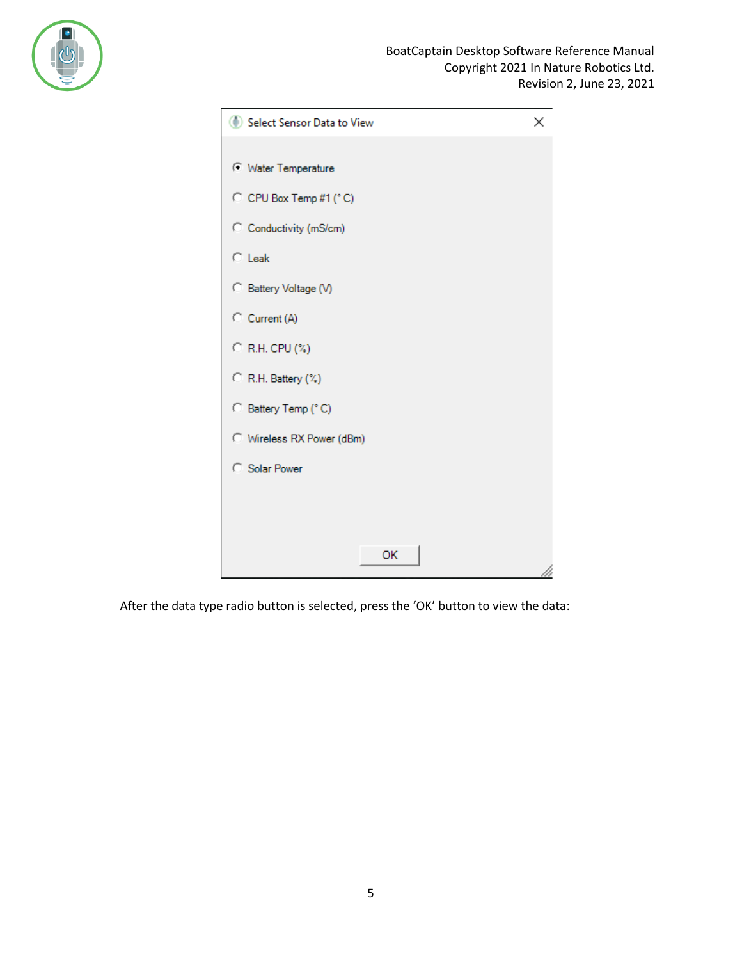

| Select Sensor Data to View | × |
|----------------------------|---|
|                            |   |
| <b>Water Temperature</b>   |   |
| C CPU Box Temp #1 (°C)     |   |
| C Conductivity (mS/cm)     |   |
| $\circ$ Leak               |   |
| C Battery Voltage (V)      |   |
| C Current (A)              |   |
| C R.H. CPU (%)             |   |
| C R.H. Battery (%)         |   |
| C Battery Temp (°C)        |   |
| C Wireless RX Power (dBm)  |   |
| <b>C</b> Solar Power       |   |
|                            |   |
|                            |   |
| OK                         |   |
|                            |   |

After the data type radio button is selected, press the 'OK' button to view the data: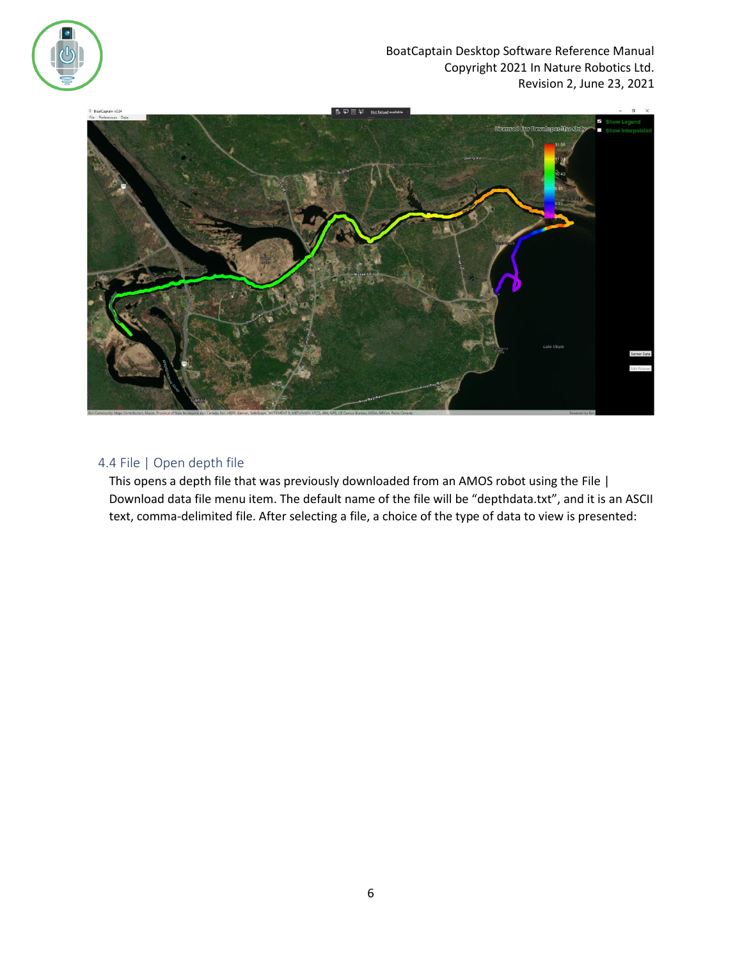



## <span id="page-5-0"></span>4.4 File | Open depth file

This opens a depth file that was previously downloaded from an AMOS robot using the [File |](#page-8-1)  [Download data file](#page-8-1) menu item. The default name of the file will be "depthdata.txt", and it is an ASCII text, comma-delimited file. After selecting a file, a choice of the type of data to view is presented: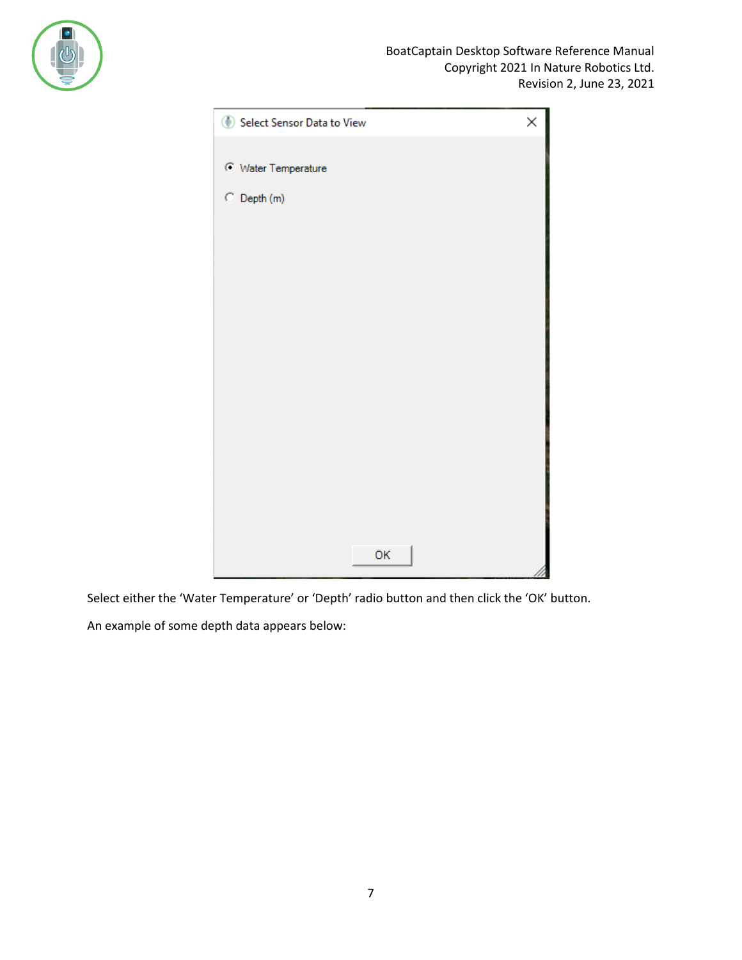

| Select Sensor Data to View | × |
|----------------------------|---|
|                            |   |
| <b>Water Temperature</b>   |   |
| C Depth (m)                |   |
|                            |   |
|                            |   |
|                            |   |
|                            |   |
|                            |   |
|                            |   |
|                            |   |
|                            |   |
|                            |   |
|                            |   |
|                            |   |
|                            |   |
|                            |   |
| OK                         |   |
|                            |   |

Select either the 'Water Temperature' or 'Depth' radio button and then click the 'OK' button.

An example of some depth data appears below: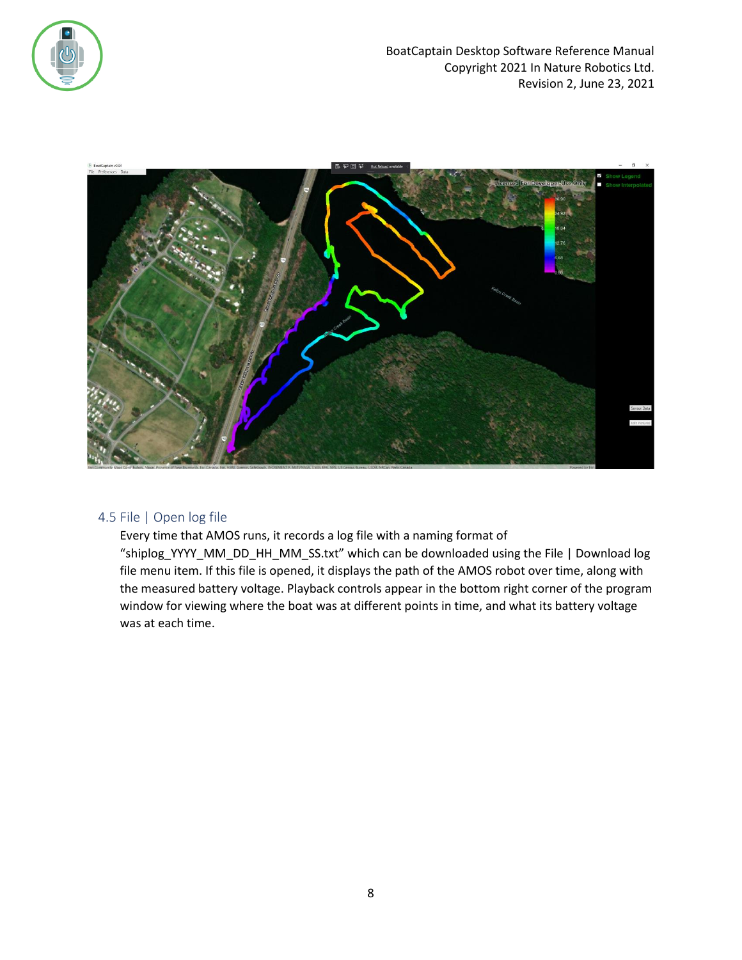



#### <span id="page-7-0"></span>4.5 File | Open log file

Every time that AMOS runs, it records a log file with a naming format of "shiplog\_YYYY\_MM\_DD\_HH\_MM\_SS.txt" which can be downloaded using the File | Download log file menu item. If this file is opened, it displays the path of the AMOS robot over time, along with the measured battery voltage. Playback controls appear in the bottom right corner of the program window for viewing where the boat was at different points in time, and what its battery voltage was at each time.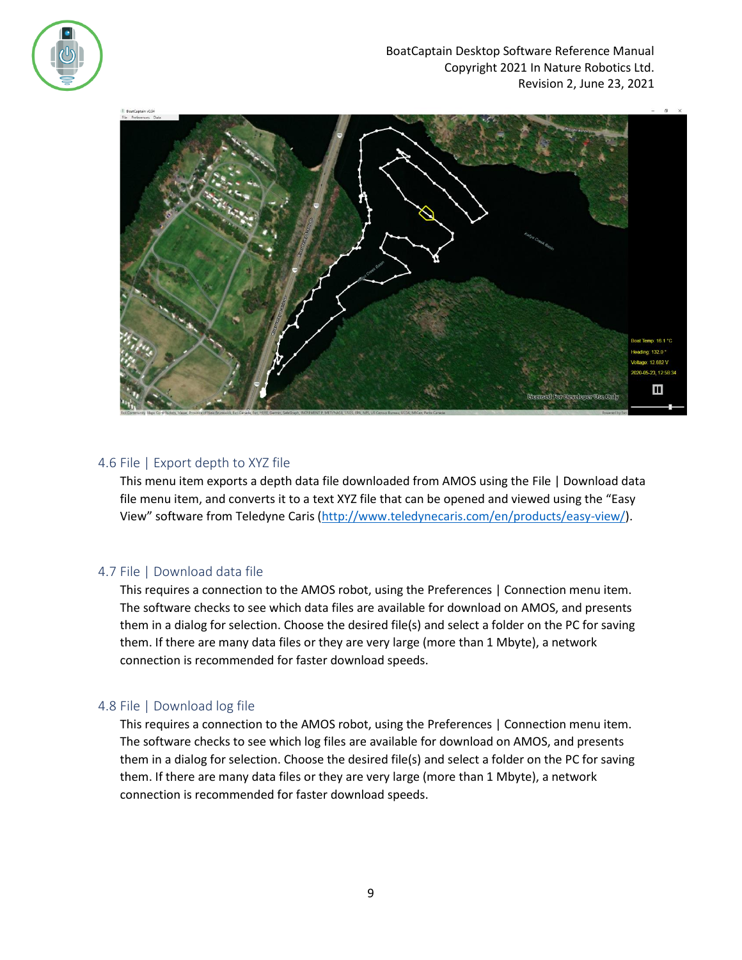



## <span id="page-8-0"></span>4.6 File | Export depth to XYZ file

This menu item exports a depth data file downloaded from AMOS using the [File | Download data](#page-8-1)  [file](#page-8-1) menu item, and converts it to a text XYZ file that can be opened and viewed using the "Easy View" software from Teledyne Caris ([http://www.teledynecaris.com/en/products/easy-view/\)](http://www.teledynecaris.com/en/products/easy-view/).

#### <span id="page-8-1"></span>4.7 File | Download data file

This requires a connection to the AMOS robot, using th[e Preferences | Connection](#page-11-0) menu item. The software checks to see which data files are available for download on AMOS, and presents them in a dialog for selection. Choose the desired file(s) and select a folder on the PC for saving them. If there are many data files or they are very large (more than 1 Mbyte), a network connection is recommended for faster download speeds.

#### <span id="page-8-2"></span>4.8 File | Download log file

This requires a connection to the AMOS robot, using th[e Preferences | Connection](#page-11-0) menu item. The software checks to see which log files are available for download on AMOS, and presents them in a dialog for selection. Choose the desired file(s) and select a folder on the PC for saving them. If there are many data files or they are very large (more than 1 Mbyte), a network connection is recommended for faster download speeds.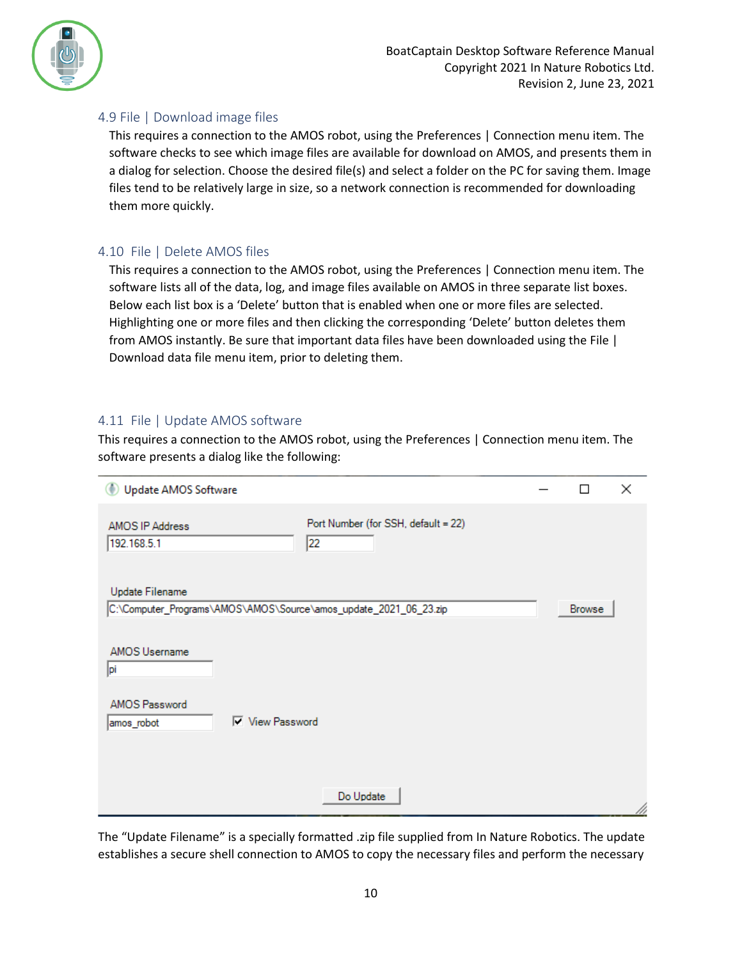

## <span id="page-9-0"></span>4.9 File | Download image files

This requires a connection to the AMOS robot, using th[e Preferences | Connection](#page-11-0) menu item. The software checks to see which image files are available for download on AMOS, and presents them in a dialog for selection. Choose the desired file(s) and select a folder on the PC for saving them. Image files tend to be relatively large in size, so a network connection is recommended for downloading them more quickly.

## <span id="page-9-1"></span>4.10 File | Delete AMOS files

This requires a connection to the AMOS robot, using th[e Preferences | Connection](#page-11-0) menu item. The software lists all of the data, log, and image files available on AMOS in three separate list boxes. Below each list box is a 'Delete' button that is enabled when one or more files are selected. Highlighting one or more files and then clicking the corresponding 'Delete' button deletes them from AMOS instantly. Be sure that important data files have been downloaded using the [File |](#page-8-1)  [Download data file](#page-8-1) menu item, prior to deleting them.

## <span id="page-9-2"></span>4.11 File | Update AMOS software

This requires a connection to the AMOS robot, using th[e Preferences | Connection](#page-11-0) menu item. The software presents a dialog like the following:

| <b>Update AMOS Software</b>                                                         | П             | $\times$ |
|-------------------------------------------------------------------------------------|---------------|----------|
| Port Number (for SSH, default = 22)<br>AMOS IP Address<br>192.168.5.1<br>22         |               |          |
| Update Filename                                                                     |               |          |
| C:\Computer_Programs\AMOS\AMOS\Source\amos_update_2021_06_23.zip                    | <b>Browse</b> |          |
| <b>AMOS Username</b><br>pi<br>AMOS Password<br><b>▽</b> View Password<br>amos_robot |               |          |
| Do Update                                                                           |               | D.       |

The "Update Filename" is a specially formatted .zip file supplied from In Nature Robotics. The update establishes a secure shell connection to AMOS to copy the necessary files and perform the necessary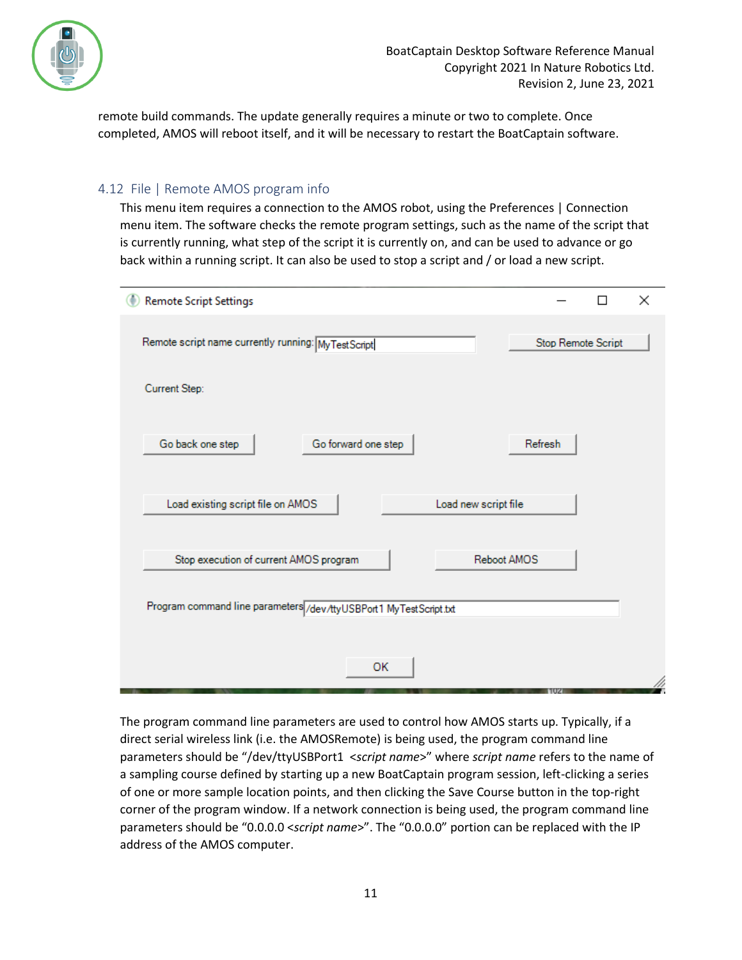

remote build commands. The update generally requires a minute or two to complete. Once completed, AMOS will reboot itself, and it will be necessary to restart the BoatCaptain software.

## <span id="page-10-0"></span>4.12 File | Remote AMOS program info

This menu item requires a connection to the AMOS robot, using the [Preferences | Connection](#page-11-0) menu item. The software checks the remote program settings, such as the name of the script that is currently running, what step of the script it is currently on, and can be used to advance or go back within a running script. It can also be used to stop a script and / or load a new script.

| <b>Remote Script Settings</b>                                     |                    | П | $\times$ |
|-------------------------------------------------------------------|--------------------|---|----------|
| Remote script name currently running: MyTestScript                | Stop Remote Script |   |          |
| Current Step:                                                     |                    |   |          |
| Go forward one step<br>Go back one step                           | Refresh            |   |          |
| Load existing script file on AMOS<br>Load new script file         |                    |   |          |
| Stop execution of current AMOS program<br>Reboot AMOS             |                    |   |          |
| Program command line parameters /dev/ttyUSBPort1 MyTestScript.txt |                    |   |          |
| OK                                                                |                    |   |          |

The program command line parameters are used to control how AMOS starts up. Typically, if a direct serial wireless link (i.e. the AMOSRemote) is being used, the program command line parameters should be "/dev/ttyUSBPort1 <*script name*>" where *script name* refers to the name of a sampling course defined by starting up a new BoatCaptain program session, left-clicking a series of one or more sample location points, and then clicking the Save Course button in the top-right corner of the program window. If a network connection is being used, the program command line parameters should be "0.0.0.0 <*script name*>". The "0.0.0.0" portion can be replaced with the IP address of the AMOS computer.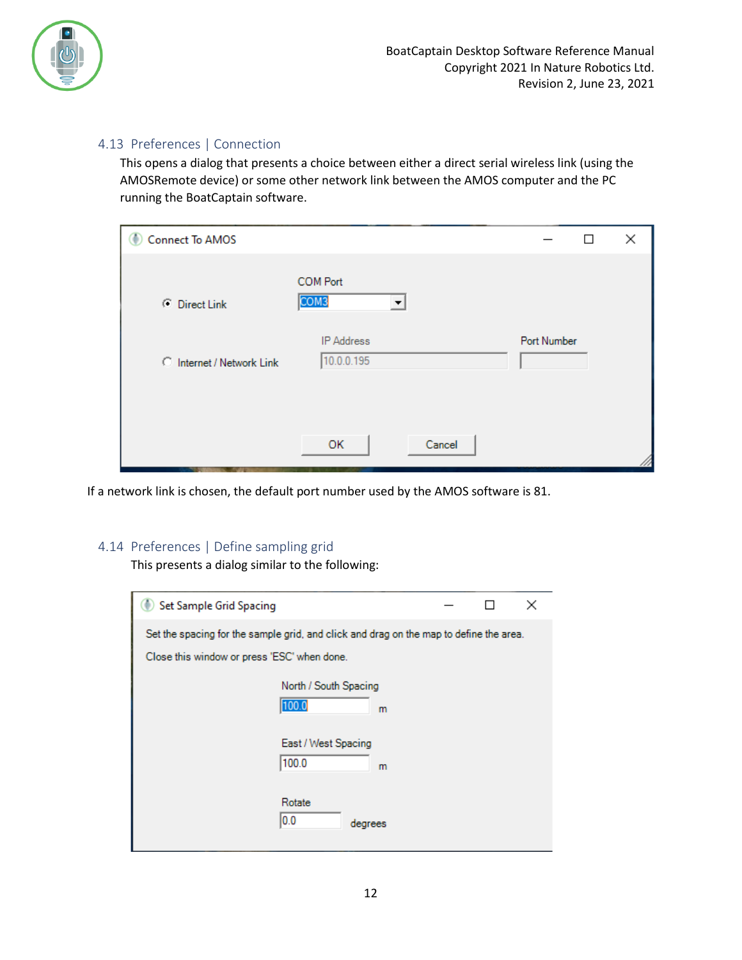

## <span id="page-11-0"></span>4.13 Preferences | Connection

This opens a dialog that presents a choice between either a direct serial wireless link (using the AMOSRemote device) or some other network link between the AMOS computer and the PC running the BoatCaptain software.

| <b>Connect To AMOS</b><br>O |                                     | ×<br>$\mathsf{L}$ |
|-----------------------------|-------------------------------------|-------------------|
| C Direct Link               | <b>COM Port</b><br>COM <sub>3</sub> |                   |
| C Internet / Network Link   | <b>IP Address</b><br>10.0.0.195     | Port Number       |
|                             | Cancel<br>OK                        |                   |

If a network link is chosen, the default port number used by the AMOS software is 81.

#### <span id="page-11-1"></span>4.14 Preferences | Define sampling grid

This presents a dialog similar to the following:

| <b>Set Sample Grid Spacing</b>                                                         |  | × |
|----------------------------------------------------------------------------------------|--|---|
| Set the spacing for the sample grid, and click and drag on the map to define the area. |  |   |
| Close this window or press 'ESC' when done.                                            |  |   |
| North / South Spacing                                                                  |  |   |
| 100.0<br>m                                                                             |  |   |
| East / West Spacing<br>100.0<br>m                                                      |  |   |
| Rotate<br>0.0<br>degrees                                                               |  |   |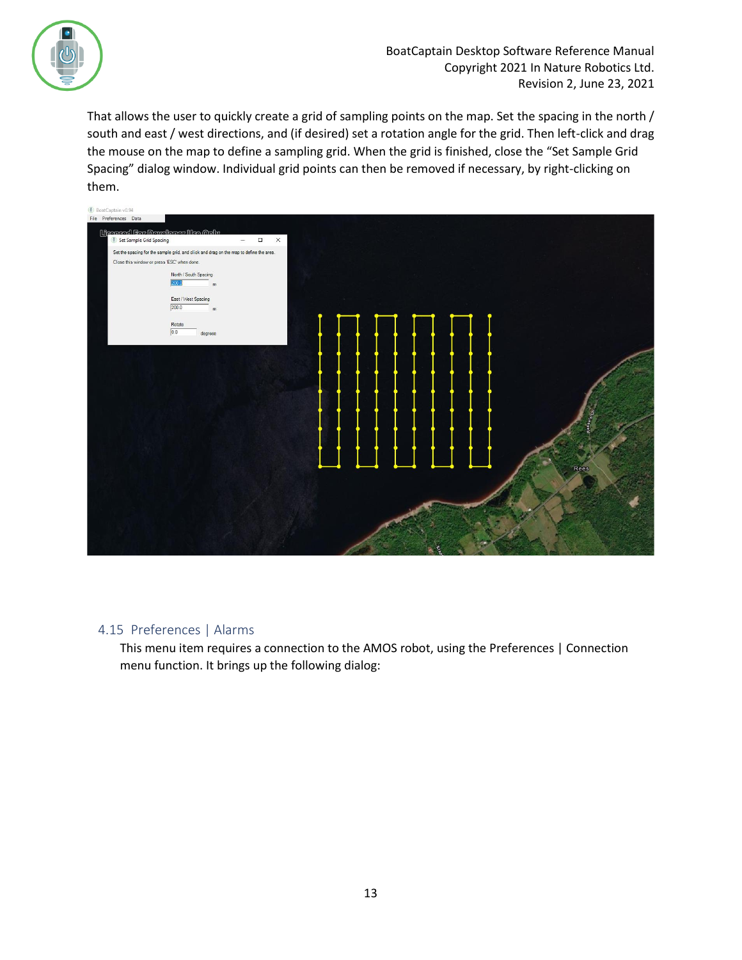

That allows the user to quickly create a grid of sampling points on the map. Set the spacing in the north / south and east / west directions, and (if desired) set a rotation angle for the grid. Then left-click and drag the mouse on the map to define a sampling grid. When the grid is finished, close the "Set Sample Grid Spacing" dialog window. Individual grid points can then be removed if necessary, by right-clicking on them.



#### <span id="page-12-0"></span>4.15 Preferences | Alarms

This menu item requires a connection to the AMOS robot, using the [Preferences | Connection](#page-11-0) menu function. It brings up the following dialog: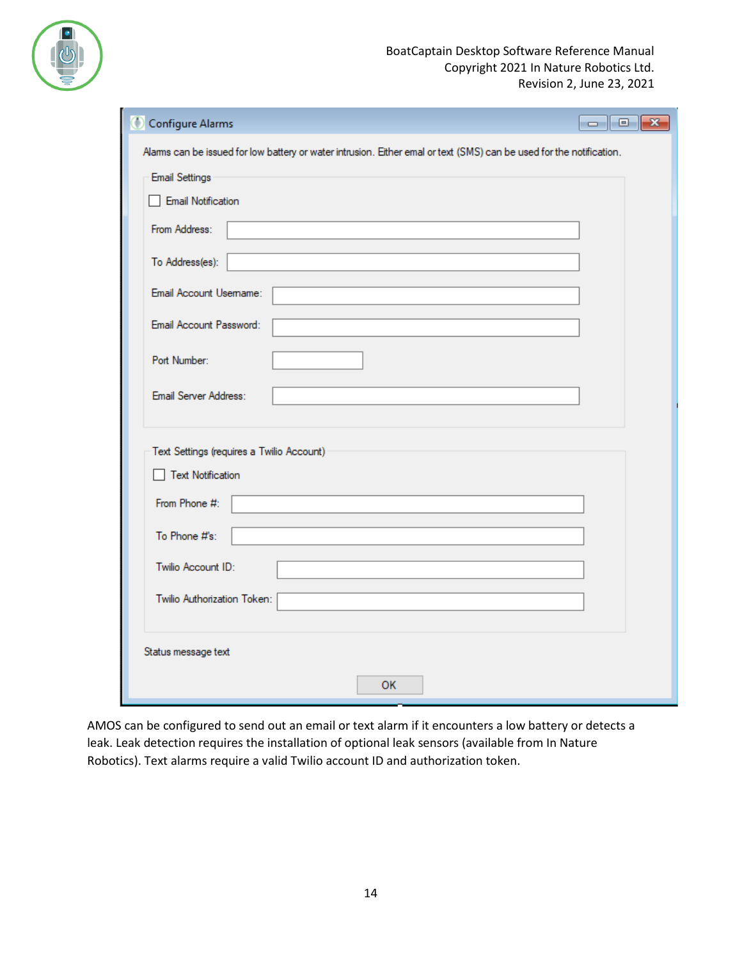

| Configure Alarms                          |                                                                                                                     | $\Box$ e<br>$\mathbf{x}$ |
|-------------------------------------------|---------------------------------------------------------------------------------------------------------------------|--------------------------|
|                                           | Alams can be issued for low battery or water intrusion. Either emal or text (SMS) can be used for the notification. |                          |
| <b>Email Settings</b>                     |                                                                                                                     |                          |
| Email Notification                        |                                                                                                                     |                          |
| From Address:                             |                                                                                                                     |                          |
| To Address(es):                           |                                                                                                                     |                          |
| Email Account Usemame:                    |                                                                                                                     |                          |
| Email Account Password:                   |                                                                                                                     |                          |
| Port Number:                              |                                                                                                                     |                          |
| Email Server Address:                     |                                                                                                                     |                          |
| Text Settings (requires a Twilio Account) |                                                                                                                     |                          |
| □ Text Notification                       |                                                                                                                     |                          |
| From Phone #:                             |                                                                                                                     |                          |
| To Phone #'s:                             |                                                                                                                     |                          |
| Twilio Account ID:                        |                                                                                                                     |                          |
| Twilio Authorization Token:               |                                                                                                                     |                          |
| Status message text                       |                                                                                                                     |                          |
|                                           | <b>OK</b>                                                                                                           |                          |

AMOS can be configured to send out an email or text alarm if it encounters a low battery or detects a leak. Leak detection requires the installation of optional leak sensors (available from In Nature Robotics). Text alarms require a valid Twilio account ID and authorization token.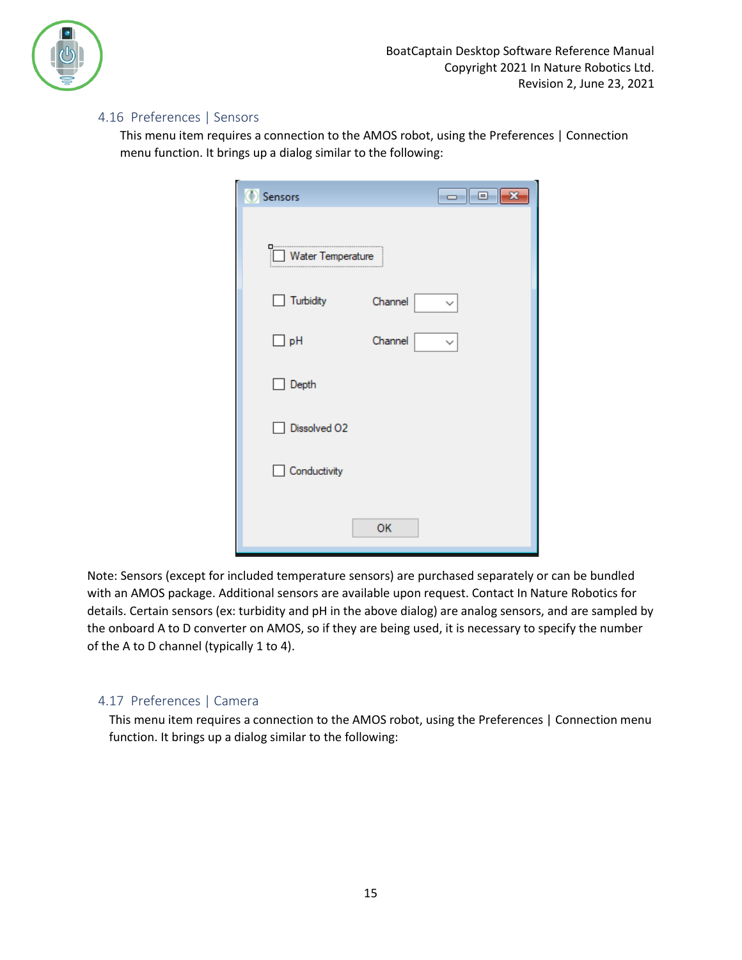

## <span id="page-14-0"></span>4.16 Preferences | Sensors

This menu item requires a connection to the AMOS robot, using the [Preferences | Connection](#page-11-0) menu function. It brings up a dialog similar to the following:

| $\overline{\phantom{a}}$ $\overline{\phantom{a}}$<br>$\mathbf{x}$<br>Sensors |
|------------------------------------------------------------------------------|
| Water Temperature                                                            |
| Turbidity<br>Channel<br>$\mathsf{L}$<br>✓                                    |
| $\Box$ pH<br>Channel<br>$\checkmark$                                         |
| Depth                                                                        |
| Dissolved O2                                                                 |
| Conductivity                                                                 |
| OK                                                                           |

Note: Sensors (except for included temperature sensors) are purchased separately or can be bundled with an AMOS package. Additional sensors are available upon request. Contact In Nature Robotics for details. Certain sensors (ex: turbidity and pH in the above dialog) are analog sensors, and are sampled by the onboard A to D converter on AMOS, so if they are being used, it is necessary to specify the number of the A to D channel (typically 1 to 4).

#### <span id="page-14-1"></span>4.17 Preferences | Camera

This menu item requires a connection to the AMOS robot, using the [Preferences | Connection](#page-11-0) menu function. It brings up a dialog similar to the following: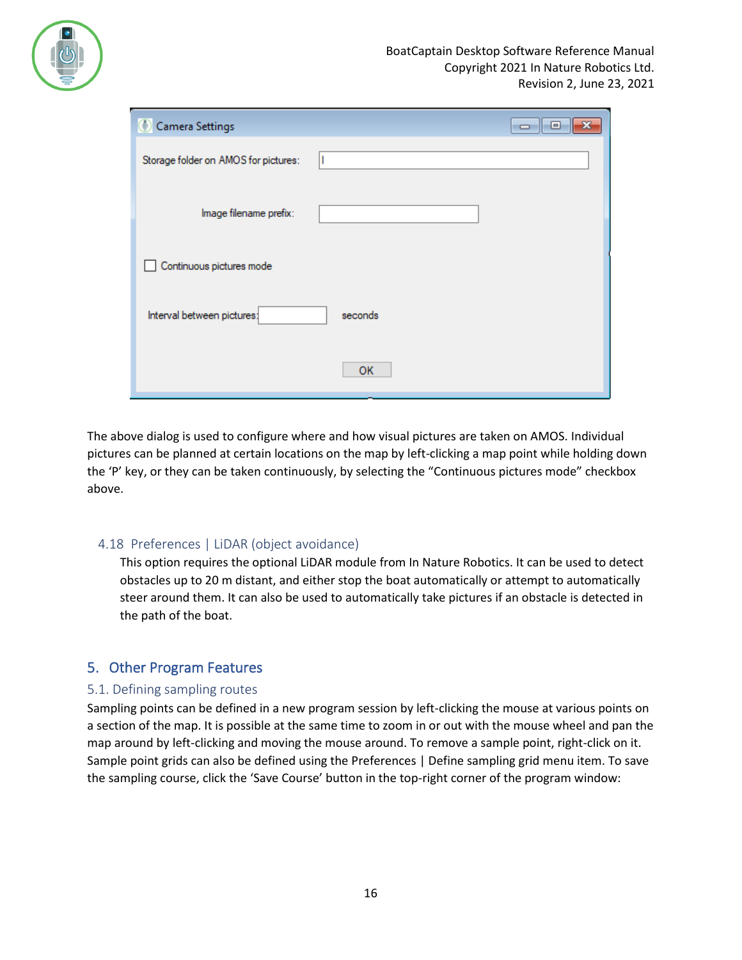

| Camera Settings                      |         | $\blacksquare$ |
|--------------------------------------|---------|----------------|
| Storage folder on AMOS for pictures: |         |                |
| Image filename prefix:               |         |                |
| Continuous pictures mode             |         |                |
| Interval between pictures:           | seconds |                |
|                                      | OK      |                |

The above dialog is used to configure where and how visual pictures are taken on AMOS. Individual pictures can be planned at certain locations on the map by left-clicking a map point while holding down the 'P' key, or they can be taken continuously, by selecting the "Continuous pictures mode" checkbox above.

#### <span id="page-15-0"></span>4.18 Preferences | LiDAR (object avoidance)

This option requires the optional LiDAR module from In Nature Robotics. It can be used to detect obstacles up to 20 m distant, and either stop the boat automatically or attempt to automatically steer around them. It can also be used to automatically take pictures if an obstacle is detected in the path of the boat.

## <span id="page-15-1"></span>5. Other Program Features

#### <span id="page-15-2"></span>5.1. Defining sampling routes

Sampling points can be defined in a new program session by left-clicking the mouse at various points on a section of the map. It is possible at the same time to zoom in or out with the mouse wheel and pan the map around by left-clicking and moving the mouse around. To remove a sample point, right-click on it. Sample point grids can also be defined using the [Preferences | Define sampling grid](#page-11-1) menu item. To save the sampling course, click the 'Save Course' button in the top-right corner of the program window: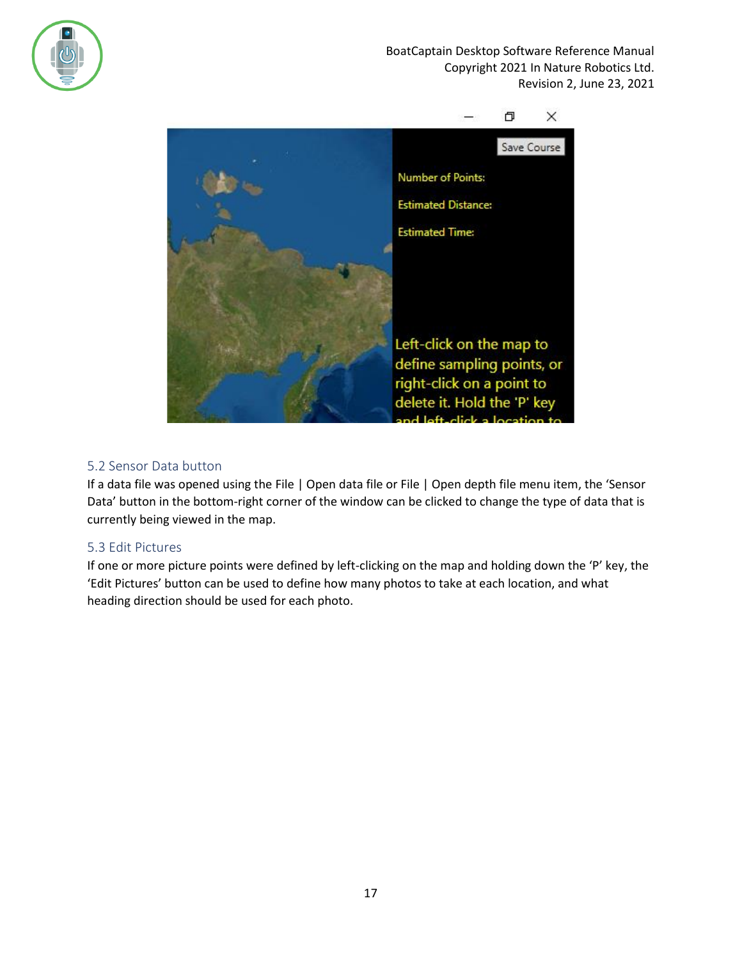



## <span id="page-16-0"></span>5.2 Sensor Data button

If a data file was opened using the [File | Open data file](#page-3-0) o[r File | Open depth file](#page-5-0) menu item, the 'Sensor Data' button in the bottom-right corner of the window can be clicked to change the type of data that is currently being viewed in the map.

#### <span id="page-16-1"></span>5.3 Edit Pictures

If one or more picture points were defined by left-clicking on the map and holding down the 'P' key, the 'Edit Pictures' button can be used to define how many photos to take at each location, and what heading direction should be used for each photo.